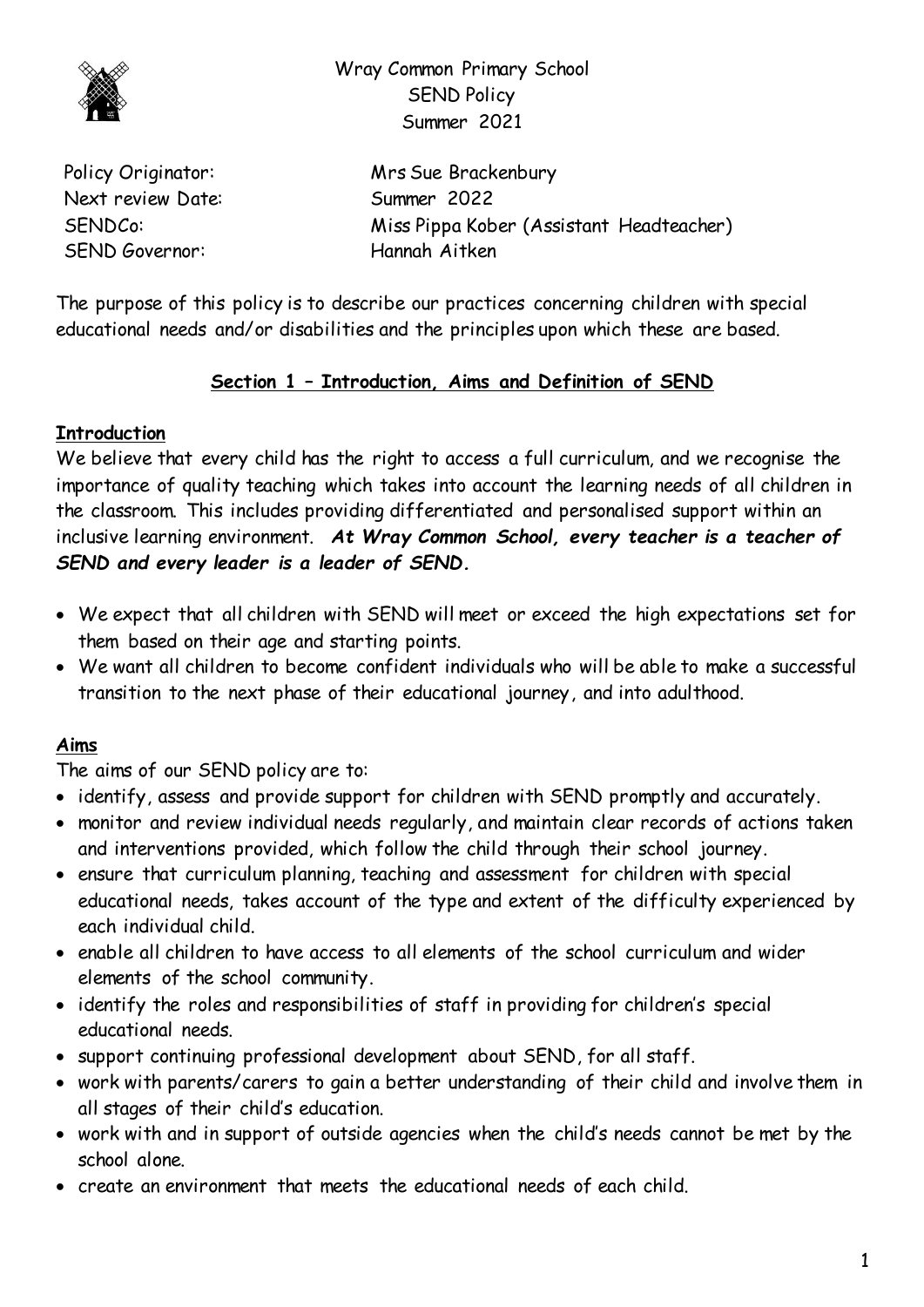

Wray Common Primary School SEND Policy Summer 2021

Next review Date: Summer 2022 SEND Governor: Hannah Aitken

Policy Originator: Mrs Sue Brackenbury SENDCo: Miss Pippa Kober (Assistant Headteacher)

The purpose of this policy is to describe our practices concerning children with special educational needs and/or disabilities and the principles upon which these are based.

# **Section 1 – Introduction, Aims and Definition of SEND**

# **Introduction**

We believe that every child has the right to access a full curriculum, and we recognise the importance of quality teaching which takes into account the learning needs of all children in the classroom. This includes providing differentiated and personalised support within an inclusive learning environment. *At Wray Common School, every teacher is a teacher of SEND and every leader is a leader of SEND.*

- We expect that all children with SEND will meet or exceed the high expectations set for them based on their age and starting points.
- We want all children to become confident individuals who will be able to make a successful transition to the next phase of their educational journey, and into adulthood.

# **Aims**

The aims of our SEND policy are to:

- identify, assess and provide support for children with SEND promptly and accurately.
- monitor and review individual needs regularly, and maintain clear records of actions taken and interventions provided, which follow the child through their school journey.
- ensure that curriculum planning, teaching and assessment for children with special educational needs, takes account of the type and extent of the difficulty experienced by each individual child.
- enable all children to have access to all elements of the school curriculum and wider elements of the school community.
- identify the roles and responsibilities of staff in providing for children's special educational needs.
- support continuing professional development about SEND, for all staff.
- work with parents/carers to gain a better understanding of their child and involve them in all stages of their child's education.
- work with and in support of outside agencies when the child's needs cannot be met by the school alone.
- create an environment that meets the educational needs of each child.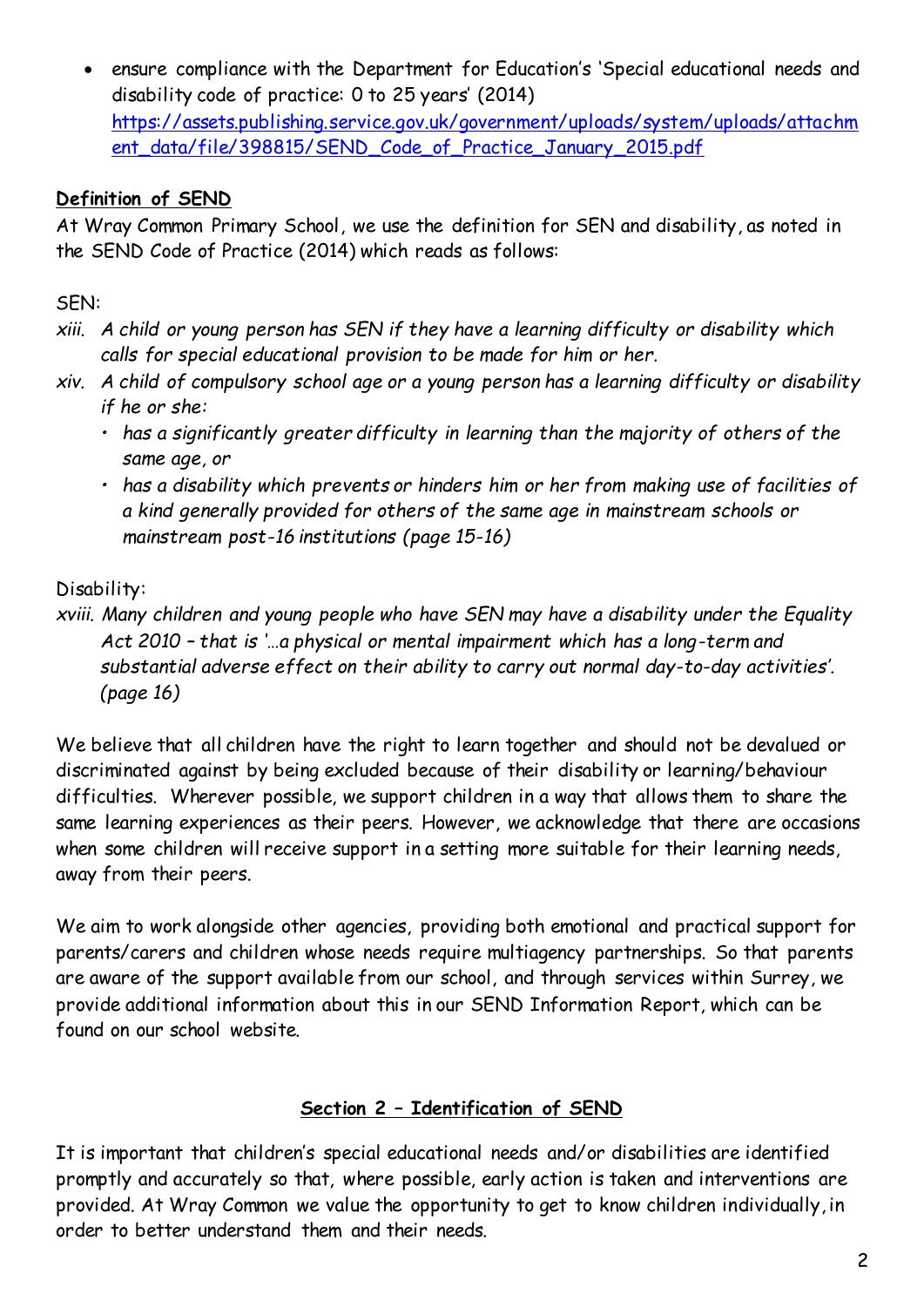ensure compliance with the Department for Education's 'Special educational needs and disability code of practice: 0 to 25 years' (2014) [https://assets.publishing.service.gov.uk/government/uploads/system/uploads/attachm](https://assets.publishing.service.gov.uk/government/uploads/system/uploads/attachment_data/file/398815/SEND_Code_of_Practice_January_2015.pdf) [ent\\_data/file/398815/SEND\\_Code\\_of\\_Practice\\_January\\_2015.pdf](https://assets.publishing.service.gov.uk/government/uploads/system/uploads/attachment_data/file/398815/SEND_Code_of_Practice_January_2015.pdf)

## **Definition of SEND**

At Wray Common Primary School, we use the definition for SEN and disability, as noted in the SEND Code of Practice (2014) which reads as follows:

# SEN:

- *xiii. A child or young person has SEN if they have a learning difficulty or disability which calls for special educational provision to be made for him or her.*
- *xiv. A child of compulsory school age or a young person has a learning difficulty or disability if he or she:* 
	- *has a significantly greater difficulty in learning than the majority of others of the same age, or*
	- *has a disability which prevents or hinders him or her from making use of facilities of a kind generally provided for others of the same age in mainstream schools or mainstream post-16 institutions (page 15-16)*

## Disability:

*xviii. Many children and young people who have SEN may have a disability under the Equality Act 2010 – that is '…a physical or mental impairment which has a long-term and substantial adverse effect on their ability to carry out normal day-to-day activities'. (page 16)*

We believe that all children have the right to learn together and should not be devalued or discriminated against by being excluded because of their disability or learning/behaviour difficulties. Wherever possible, we support children in a way that allows them to share the same learning experiences as their peers. However, we acknowledge that there are occasions when some children will receive support in a setting more suitable for their learning needs, away from their peers.

We aim to work alongside other agencies, providing both emotional and practical support for parents/carers and children whose needs require multiagency partnerships. So that parents are aware of the support available from our school, and through services within Surrey, we provide additional information about this in our SEND Information Report, which can be found on our school website.

### **Section 2 – Identification of SEND**

It is important that children's special educational needs and/or disabilities are identified promptly and accurately so that, where possible, early action is taken and interventions are provided. At Wray Common we value the opportunity to get to know children individually, in order to better understand them and their needs.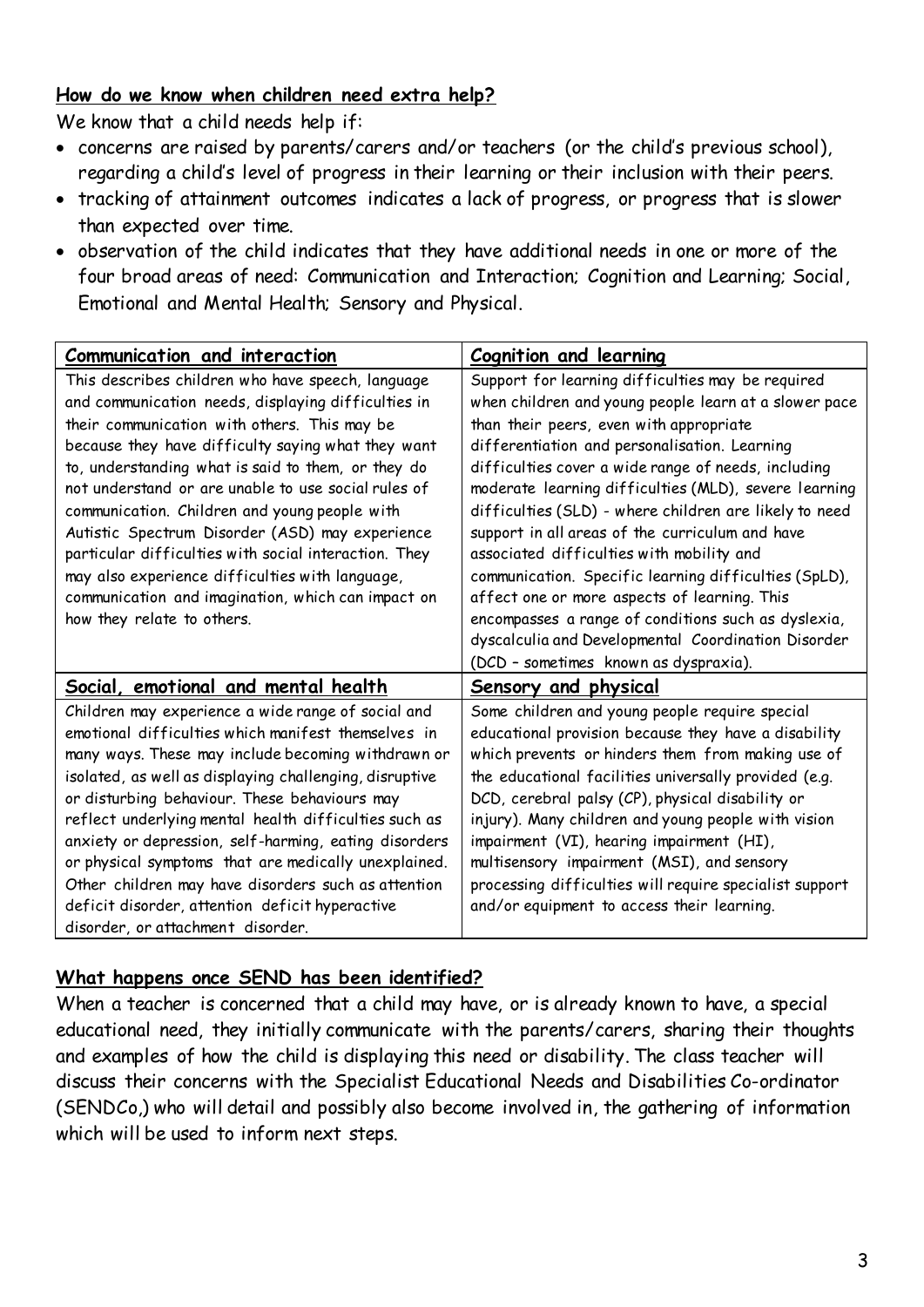### **How do we know when children need extra help?**

We know that a child needs help if:

- concerns are raised by parents/carers and/or teachers (or the child's previous school), regarding a child's level of progress in their learning or their inclusion with their peers.
- tracking of attainment outcomes indicates a lack of progress, or progress that is slower than expected over time.
- observation of the child indicates that they have additional needs in one or more of the four broad areas of need: Communication and Interaction; Cognition and Learning; Social, Emotional and Mental Health; Sensory and Physical.

| Communication and interaction                           | <b>Cognition and learning</b>                           |
|---------------------------------------------------------|---------------------------------------------------------|
| This describes children who have speech, language       | Support for learning difficulties may be required       |
| and communication needs, displaying difficulties in     | when children and young people learn at a slower pace   |
| their communication with others. This may be            | than their peers, even with appropriate                 |
| because they have difficulty saying what they want      | differentiation and personalisation. Learning           |
| to, understanding what is said to them, or they do      | difficulties cover a wide range of needs, including     |
| not understand or are unable to use social rules of     | moderate learning difficulties (MLD), severe learning   |
| communication. Children and young people with           | difficulties (SLD) - where children are likely to need  |
| Autistic Spectrum Disorder (ASD) may experience         | support in all areas of the curriculum and have         |
| particular difficulties with social interaction. They   | associated difficulties with mobility and               |
| may also experience difficulties with language,         | communication. Specific learning difficulties (SpLD),   |
| communication and imagination, which can impact on      | affect one or more aspects of learning. This            |
| how they relate to others.                              | encompasses a range of conditions such as dyslexia,     |
|                                                         | dyscalculia and Developmental Coordination Disorder     |
|                                                         | (DCD - sometimes known as dyspraxia).                   |
| Social, emotional and mental health                     | <b>Sensory and physical</b>                             |
| Children may experience a wide range of social and      | Some children and young people require special          |
| emotional difficulties which manifest themselves in     | educational provision because they have a disability    |
| many ways. These may include becoming withdrawn or      | which prevents or hinders them from making use of       |
| isolated, as well as displaying challenging, disruptive | the educational facilities universally provided (e.g.   |
| or disturbing behaviour. These behaviours may           | DCD, cerebral palsy (CP), physical disability or        |
| reflect underlying mental health difficulties such as   | injury). Many children and young people with vision     |
| anxiety or depression, self-harming, eating disorders   | impairment (VI), hearing impairment (HI),               |
| or physical symptoms that are medically unexplained.    | multisensory impairment (MSI), and sensory              |
| Other children may have disorders such as attention     | processing difficulties will require specialist support |
| deficit disorder, attention deficit hyperactive         | and/or equipment to access their learning.              |
| disorder, or attachment disorder.                       |                                                         |

### **What happens once SEND has been identified?**

When a teacher is concerned that a child may have, or is already known to have, a special educational need, they initially communicate with the parents/carers, sharing their thoughts and examples of how the child is displaying this need or disability. The class teacher will discuss their concerns with the Specialist Educational Needs and Disabilities Co-ordinator (SENDCo,) who will detail and possibly also become involved in, the gathering of information which will be used to inform next steps.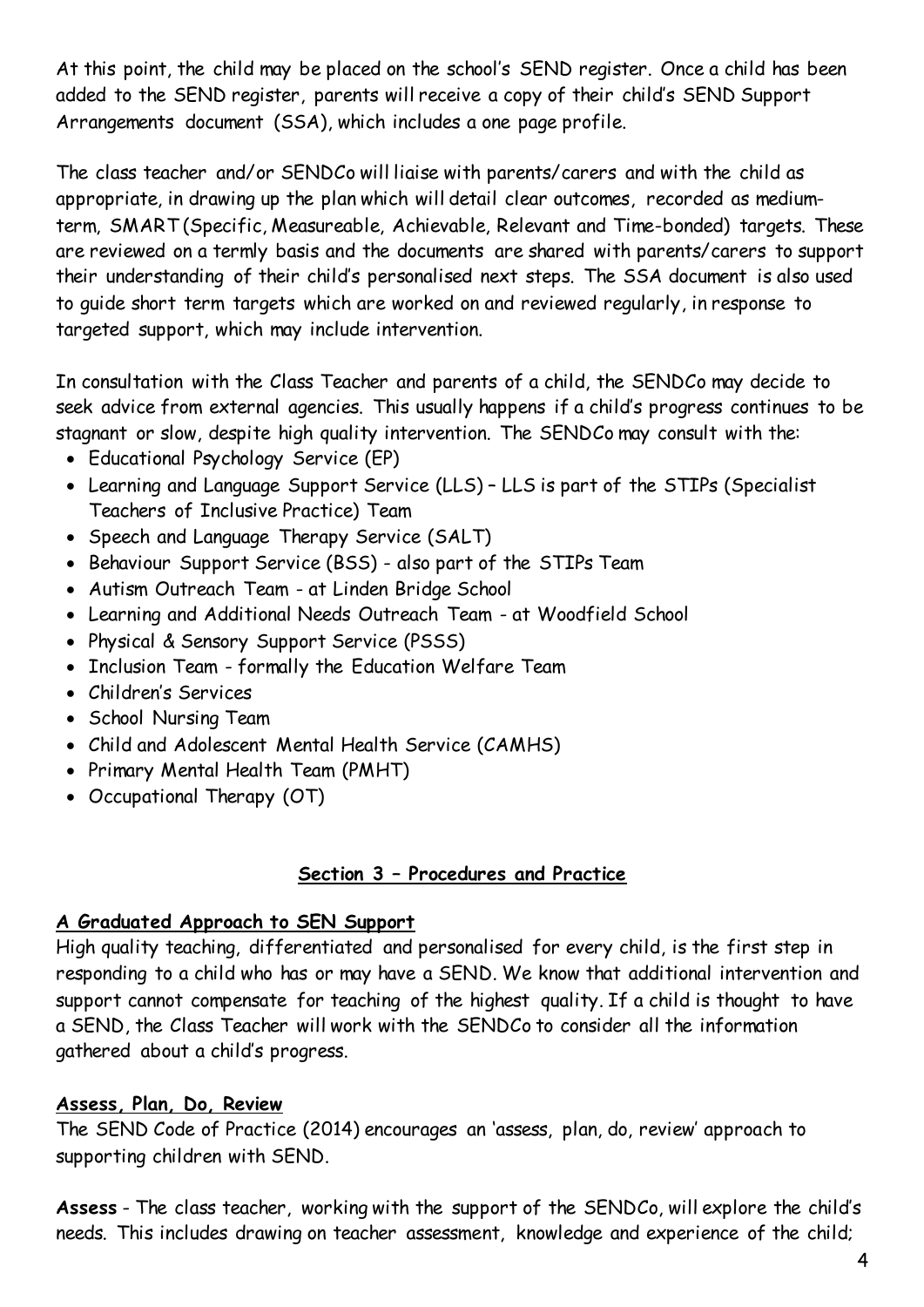At this point, the child may be placed on the school's SEND register. Once a child has been added to the SEND register, parents will receive a copy of their child's SEND Support Arrangements document (SSA), which includes a one page profile.

The class teacher and/or SENDCo will liaise with parents/carers and with the child as appropriate, in drawing up the plan which will detail clear outcomes, recorded as mediumterm, SMART (Specific, Measureable, Achievable, Relevant and Time-bonded) targets. These are reviewed on a termly basis and the documents are shared with parents/carers to support their understanding of their child's personalised next steps. The SSA document is also used to guide short term targets which are worked on and reviewed regularly, in response to targeted support, which may include intervention.

In consultation with the Class Teacher and parents of a child, the SENDCo may decide to seek advice from external agencies. This usually happens if a child's progress continues to be stagnant or slow, despite high quality intervention. The SENDCo may consult with the:

- Educational Psychology Service (EP)
- Learning and Language Support Service (LLS) LLS is part of the STIPs (Specialist Teachers of Inclusive Practice) Team
- Speech and Language Therapy Service (SALT)
- Behaviour Support Service (BSS) also part of the STIPs Team
- Autism Outreach Team at Linden Bridge School
- Learning and Additional Needs Outreach Team at Woodfield School
- Physical & Sensory Support Service (PSSS)
- Inclusion Team formally the Education Welfare Team
- Children's Services
- School Nursing Team
- Child and Adolescent Mental Health Service (CAMHS)
- Primary Mental Health Team (PMHT)
- Occupational Therapy (OT)

### **Section 3 – Procedures and Practice**

### **A Graduated Approach to SEN Support**

High quality teaching, differentiated and personalised for every child, is the first step in responding to a child who has or may have a SEND. We know that additional intervention and support cannot compensate for teaching of the highest quality. If a child is thought to have a SEND, the Class Teacher will work with the SENDCo to consider all the information gathered about a child's progress.

### **Assess, Plan, Do, Review**

The SEND Code of Practice (2014) encourages an 'assess, plan, do, review' approach to supporting children with SEND.

**Assess** - The class teacher, working with the support of the SENDCo, will explore the child's needs. This includes drawing on teacher assessment, knowledge and experience of the child;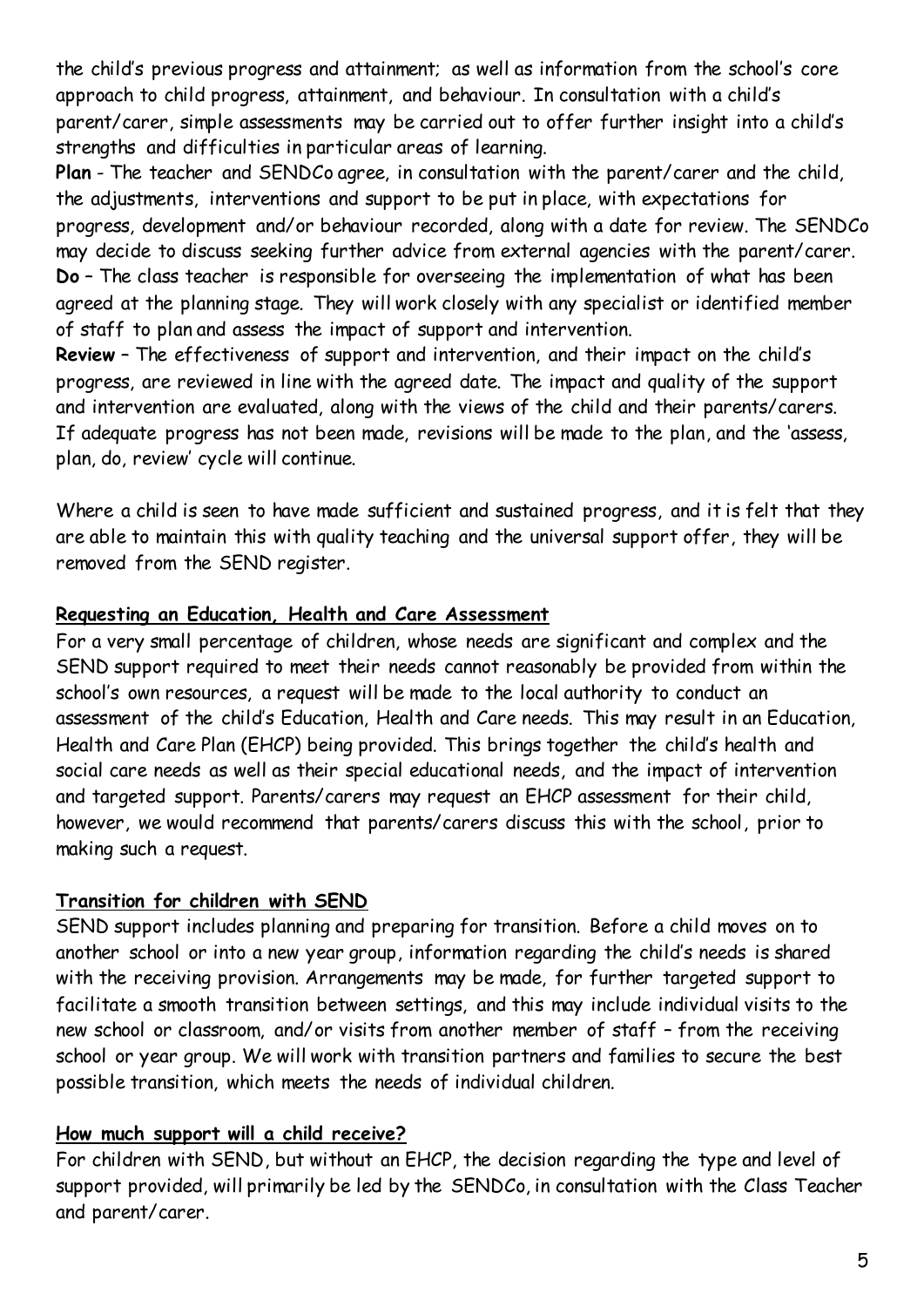the child's previous progress and attainment; as well as information from the school's core approach to child progress, attainment, and behaviour. In consultation with a child's parent/carer, simple assessments may be carried out to offer further insight into a child's strengths and difficulties in particular areas of learning.

**Plan** - The teacher and SENDCo agree, in consultation with the parent/carer and the child, the adjustments, interventions and support to be put in place, with expectations for progress, development and/or behaviour recorded, along with a date for review. The SENDCo may decide to discuss seeking further advice from external agencies with the parent/carer. **Do** – The class teacher is responsible for overseeing the implementation of what has been agreed at the planning stage. They will work closely with any specialist or identified member of staff to plan and assess the impact of support and intervention.

**Review** – The effectiveness of support and intervention, and their impact on the child's progress, are reviewed in line with the agreed date. The impact and quality of the support and intervention are evaluated, along with the views of the child and their parents/carers. If adequate progress has not been made, revisions will be made to the plan, and the 'assess, plan, do, review' cycle will continue.

Where a child is seen to have made sufficient and sustained progress, and it is felt that they are able to maintain this with quality teaching and the universal support offer, they will be removed from the SEND register.

### **Requesting an Education, Health and Care Assessment**

For a very small percentage of children, whose needs are significant and complex and the SEND support required to meet their needs cannot reasonably be provided from within the school's own resources, a request will be made to the local authority to conduct an assessment of the child's Education, Health and Care needs. This may result in an Education, Health and Care Plan (EHCP) being provided. This brings together the child's health and social care needs as well as their special educational needs, and the impact of intervention and targeted support. Parents/carers may request an EHCP assessment for their child, however, we would recommend that parents/carers discuss this with the school, prior to making such a request.

### **Transition for children with SEND**

SEND support includes planning and preparing for transition. Before a child moves on to another school or into a new year group, information regarding the child's needs is shared with the receiving provision. Arrangements may be made, for further targeted support to facilitate a smooth transition between settings, and this may include individual visits to the new school or classroom, and/or visits from another member of staff – from the receiving school or year group. We will work with transition partners and families to secure the best possible transition, which meets the needs of individual children.

### **How much support will a child receive?**

For children with SEND, but without an EHCP, the decision regarding the type and level of support provided, will primarily be led by the SENDCo, in consultation with the Class Teacher and parent/carer.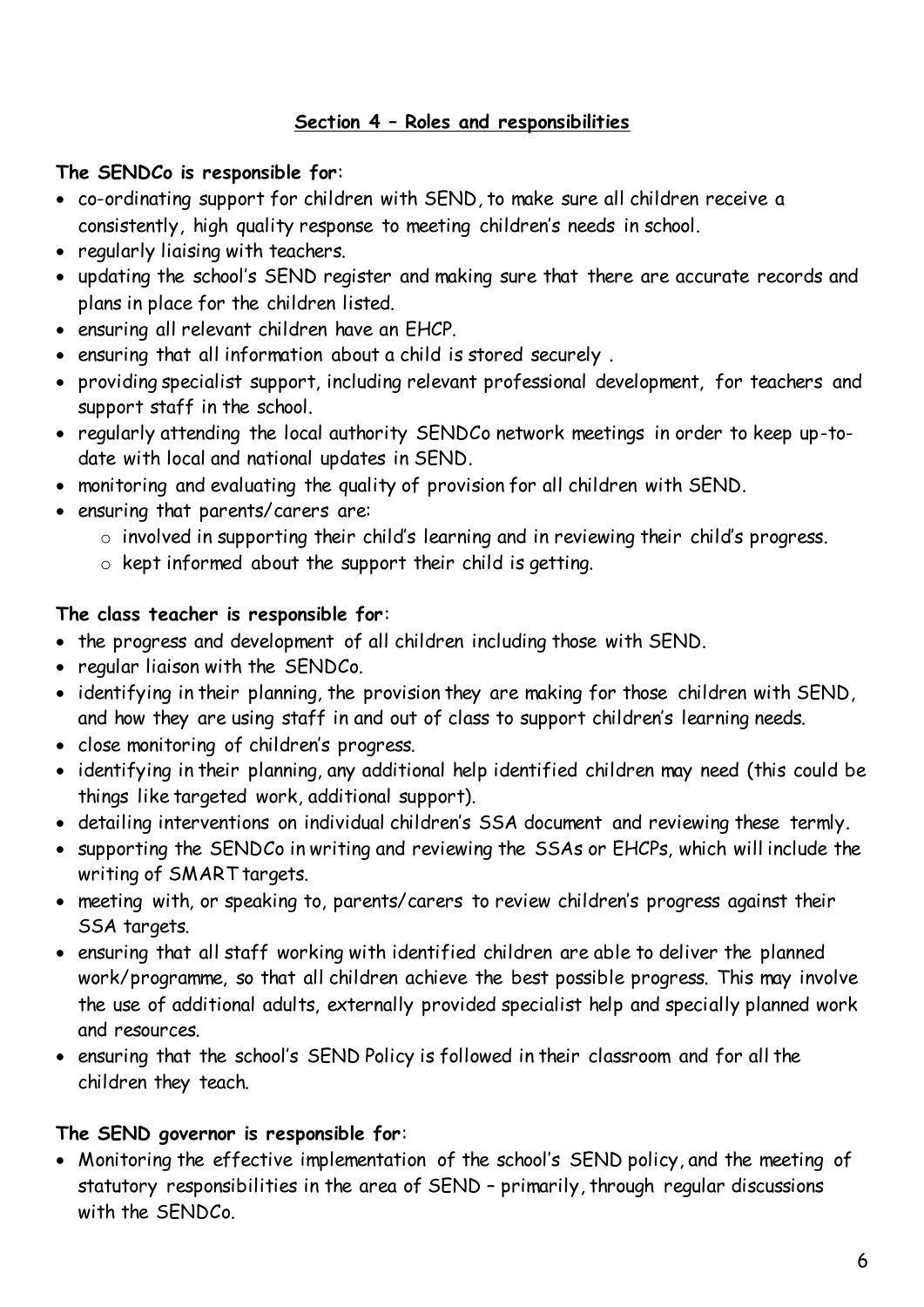### **Section 4 – Roles and responsibilities**

## **The SENDCo is responsible for**:

- co-ordinating support for children with SEND, to make sure all children receive a consistently, high quality response to meeting children's needs in school.
- regularly liaising with teachers.
- updating the school's SEND register and making sure that there are accurate records and plans in place for the children listed.
- ensuring all relevant children have an EHCP.
- ensuring that all information about a child is stored securely .
- providing specialist support, including relevant professional development, for teachers and support staff in the school.
- regularly attending the local authority SENDCo network meetings in order to keep up-todate with local and national updates in SEND.
- monitoring and evaluating the quality of provision for all children with SEND.
- ensuring that parents/carers are:
	- o involved in supporting their child's learning and in reviewing their child's progress.
	- o kept informed about the support their child is getting.

## **The class teacher is responsible for**:

- the progress and development of all children including those with SEND.
- regular liaison with the SENDCo.
- identifying in their planning, the provision they are making for those children with SEND, and how they are using staff in and out of class to support children's learning needs.
- close monitoring of children's progress.
- identifying in their planning, any additional help identified children may need (this could be things like targeted work, additional support).
- detailing interventions on individual children's SSA document and reviewing these termly.
- supporting the SENDCo in writing and reviewing the SSAs or EHCPs, which will include the writing of SMART targets.
- meeting with, or speaking to, parents/carers to review children's progress against their SSA targets.
- ensuring that all staff working with identified children are able to deliver the planned work/programme, so that all children achieve the best possible progress. This may involve the use of additional adults, externally provided specialist help and specially planned work and resources.
- ensuring that the school's SEND Policy is followed in their classroom and for all the children they teach.

# **The SEND governor is responsible for**:

 Monitoring the effective implementation of the school's SEND policy, and the meeting of statutory responsibilities in the area of SEND – primarily, through regular discussions with the SENDCo.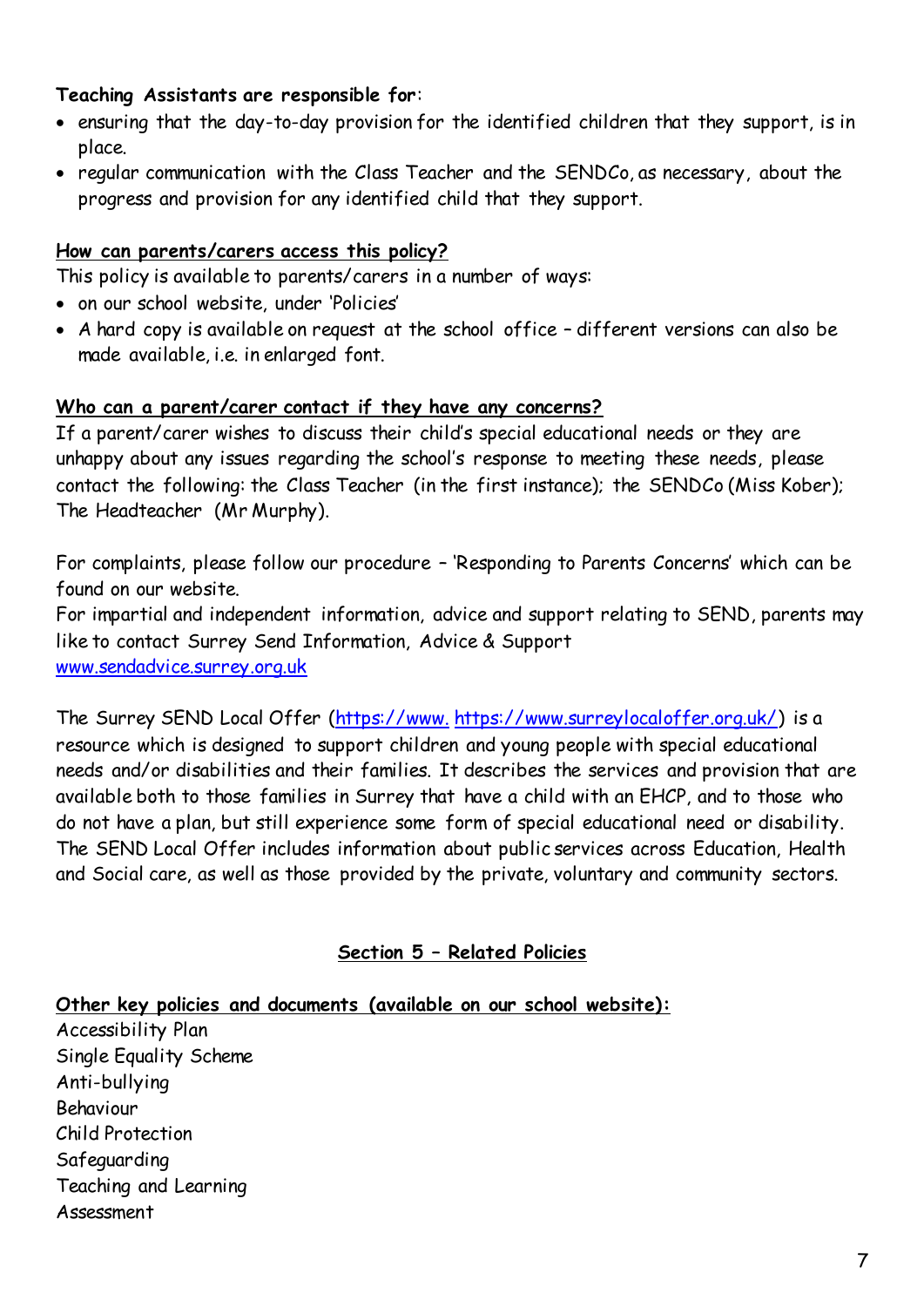#### **Teaching Assistants are responsible for**:

- ensuring that the day-to-day provision for the identified children that they support, is in place.
- regular communication with the Class Teacher and the SENDCo, as necessary, about the progress and provision for any identified child that they support.

#### **How can parents/carers access this policy?**

This policy is available to parents/carers in a number of ways:

- on our school website, under 'Policies'
- A hard copy is available on request at the school office different versions can also be made available, i.e. in enlarged font.

#### **Who can a parent/carer contact if they have any concerns?**

If a parent/carer wishes to discuss their child's special educational needs or they are unhappy about any issues regarding the school's response to meeting these needs, please contact the following: the Class Teacher (in the first instance); the SENDCo (Miss Kober); The Headteacher (Mr Murphy).

For complaints, please follow our procedure – 'Responding to Parents Concerns' which can be found on our website.

For impartial and independent information, advice and support relating to SEND, parents may like to contact Surrey Send Information, Advice & Support [www.sendadvice.surrey.org.uk](http://www.sendadvice.surrey.org.uk/)

The Surrey SEND Local Offer (https://www. [https://www.surreylocaloffer.org.uk/\)](https://www.surreysendlo.co.uk/) is a resource which is designed to support children and young people with special educational needs and/or disabilities and their families. It describes the services and provision that are available both to those families in Surrey that have a child with an EHCP, and to those who do not have a plan, but still experience some form of special educational need or disability. The SEND Local Offer includes information about public services across Education, Health and Social care, as well as those provided by the private, voluntary and community sectors.

### **Section 5 – Related Policies**

**Other key policies and documents (available on our school website):** Accessibility Plan Single Equality Scheme Anti-bullying Behaviour Child Protection Safeguarding Teaching and Learning Assessment